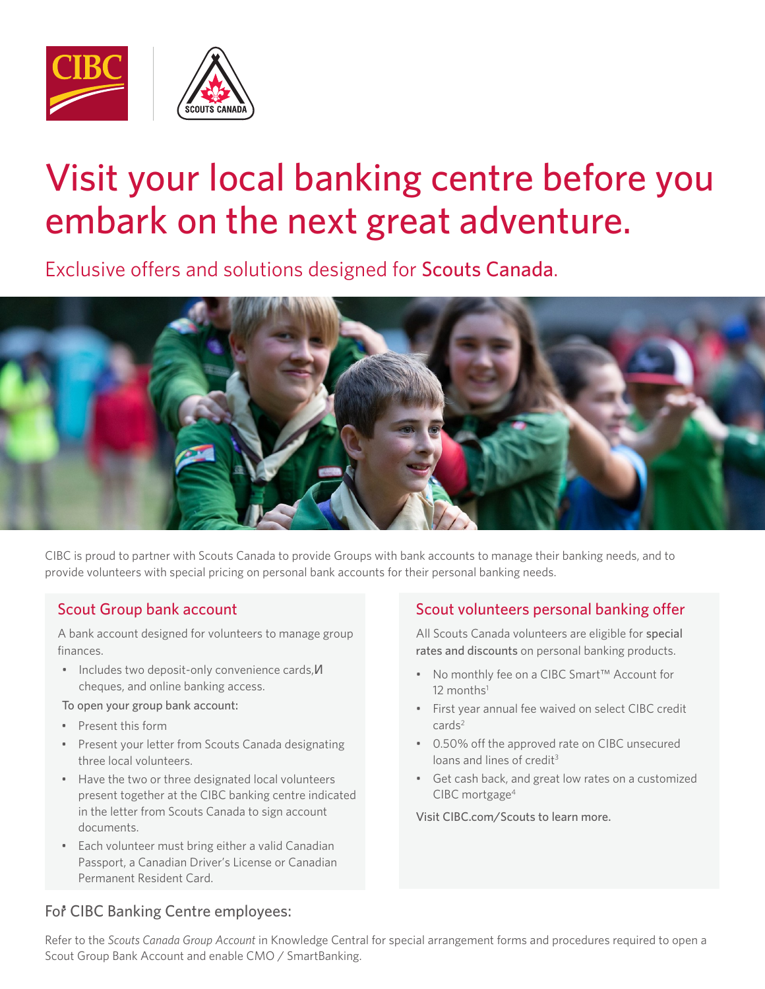

## Visit your local banking centre before you embark on the next great adventure.

Exclusive offers and solutions designed for Scouts Canada.



CIBC is proud to partner with Scouts Canada to provide Groups with bank accounts to manage their banking needs, and to provide volunteers with special pricing on personal bank accounts for their personal banking needs.

## Scout Group bank account

A bank account designed for volunteers to manage group finances.

• Includes two deposit-only convenience cards, cheques, and online banking access.

To open your group bank account:

- Present this form
- Present your letter from Scouts Canada designating three local volunteers.
- Have the two or three designated local volunteers present together at the CIBC banking centre indicated in the letter from Scouts Canada to sign account documents.
- Each volunteer must bring either a valid Canadian Passport, a Canadian Driver's License or Canadian Permanent Resident Card.

## Scout volunteers personal banking offer

All Scouts Canada volunteers are eligible for special rates and discounts on personal banking products.

- No monthly fee on a CIBC Smart™ Account for  $12$  months<sup>1</sup>
- First year annual fee waived on select CIBC credit  $cards<sup>2</sup>$
- 0.50% off the approved rate on CIBC unsecured loans and lines of credit<sup>3</sup>
- Get cash back, and great low rates on a customized CIBC mortgage4

Visit CIBC.com/Scouts to learn more.

## For CIBC Banking Centre employees:

Refer to the *Scouts Canada Group Account* in Knowledge Central for special arrangement forms and procedures required to open a Scout Group Bank Account and enable CMO / SmartBanking.